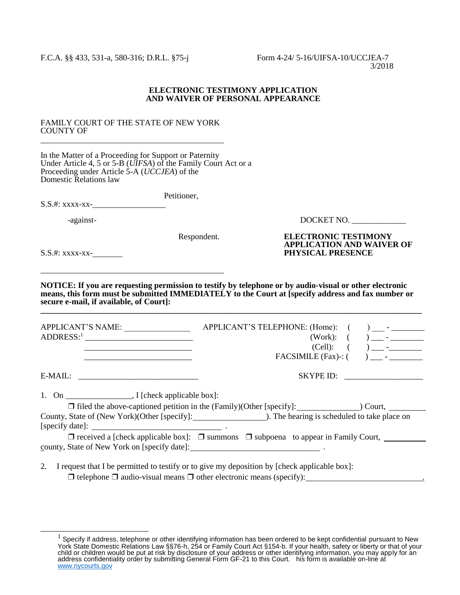## **ELECTRONIC TESTIMONY APPLICATION AND WAIVER OF PERSONAL APPEARANCE**

## FAMILY COURT OF THE STATE OF NEW YORK COUNTY OF l

In the Matter of a Proceeding for Support or Paternity Under Article 4, 5 or 5-B (*UIFSA*) of the Family Court Act or a Proceeding under Article 5-A (*UCCJEA*) of the Domestic Relations law

 Petitioner, S.S.#: xxxx-xx-

-against- DOCKET NO. \_\_\_\_\_\_\_\_\_\_\_\_\_

**APPLICATION AND WAIVER OF** 

Respondent. **ELECTRONIC TESTIMONY**

S.S.#: xxxx-xx- **PHYSICAL PRESENCE** 

l

 $\overline{a}$ 

**NOTICE: If you are requesting permission to testify by telephone or by audio-visual or other electronic means, this form must be submitted IMMEDIATELY to the Court at [specify address and fax number or secure e-mail, if available, of Court]: \_\_\_\_\_\_\_\_\_\_\_\_\_\_\_\_\_\_\_\_\_\_\_\_\_\_\_\_\_\_\_\_\_\_\_\_\_\_\_\_\_\_\_\_\_\_\_\_\_\_\_\_\_\_\_\_\_\_\_\_\_\_\_\_\_\_\_\_\_\_\_\_\_\_\_\_\_\_\_\_\_\_\_\_\_\_\_\_\_\_\_\_**

| <b>APPLICANT'S NAME:</b><br>$ADDRESS:$ <sup>1</sup>               | APPLICANT'S TELEPHONE: (Home): (<br>(Work):<br>(Cell): | $\frac{1}{2}$ $\frac{1}{2}$ $\frac{1}{2}$ $\frac{1}{2}$ $\frac{1}{2}$ $\frac{1}{2}$ $\frac{1}{2}$ $\frac{1}{2}$ $\frac{1}{2}$ $\frac{1}{2}$ $\frac{1}{2}$ $\frac{1}{2}$ $\frac{1}{2}$ $\frac{1}{2}$ $\frac{1}{2}$ $\frac{1}{2}$ $\frac{1}{2}$ $\frac{1}{2}$ $\frac{1}{2}$ $\frac{1}{2}$ $\frac{1}{2}$ $\frac{1}{2}$ |
|-------------------------------------------------------------------|--------------------------------------------------------|---------------------------------------------------------------------------------------------------------------------------------------------------------------------------------------------------------------------------------------------------------------------------------------------------------------------|
| $E-MAIL:$                                                         | SKYPE ID:                                              |                                                                                                                                                                                                                                                                                                                     |
| $\blacksquare$ I fcheck applicable box $\blacksquare$<br>$1$ . On |                                                        |                                                                                                                                                                                                                                                                                                                     |

1 [check applicable box].

| $\Box$ filed the above-captioned petition in the (Family)(Other [specify]: | Court.                                       |
|----------------------------------------------------------------------------|----------------------------------------------|
| County, State of (New York) (Other [specify]:                              | ). The hearing is scheduled to take place on |
| [specify date]:                                                            |                                              |

❒ received a [check applicable box]: ❒ summons ❒ subpoena to appear in Family Court, county, State of New York on [specify date]: .

2. I request that I be permitted to testify or to give my deposition by [check applicable box]:  $\Box$  telephone  $\Box$  audio-visual means  $\Box$  other electronic means (specify):

 $1$  Specify if address, telephone or other identifying information has been ordered to be kept confidential pursuant to New York State Domestic Relations Law §§76-h, 254 or Family Court Act §154-b. If your health, safety or liberty or that of your child or children would be put at risk by disclosure of your address or other identifying information, you may apply for an address confidentiality order by submitting General Form GF-21 to this Court. his form is available on-line at [www.nycourts.gov](http://www.nycourts.gov/)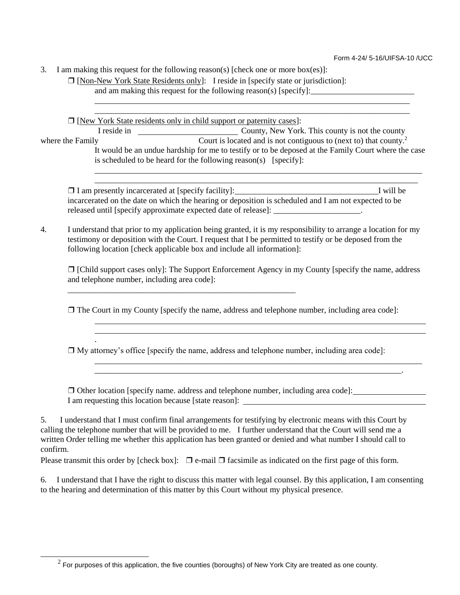3. I am making this request for the following reason(s) [check one or more box(es)]:

❒ [Non-New York State Residents only]: I reside in [specify state or jurisdiction]: and am making this request for the following reason(s) [specify]:

❒ [New York State residents only in child support or paternity cases]:

\_\_\_\_\_\_\_\_\_\_\_\_\_\_\_\_\_\_\_\_\_\_\_\_\_\_\_\_\_\_\_\_\_\_\_\_\_\_\_\_\_\_\_\_\_\_\_\_\_\_\_\_\_\_\_

l l .

 $\overline{a}$ 

I reside in County, New York. This county is not the county where the Family Court is located and is not contiguous to (next to) that county.<sup>2</sup> It would be an undue hardship for me to testify or to be deposed at the Family Court where the case is scheduled to be heard for the following reason(s) [specify]:

\_\_\_\_\_\_\_\_\_\_\_\_\_\_\_\_\_\_\_\_\_\_\_\_\_\_\_\_\_\_\_\_\_\_\_\_\_\_\_\_\_\_\_\_\_\_\_\_\_\_\_\_\_\_\_\_\_\_\_\_\_\_\_\_\_\_\_\_\_\_\_\_\_\_\_\_ \_\_\_\_\_\_\_\_\_\_\_\_\_\_\_\_\_\_\_\_\_\_\_\_\_\_\_\_\_\_\_\_\_\_\_\_\_\_\_\_\_\_\_\_\_\_\_\_\_\_\_\_\_\_\_\_\_\_\_\_\_\_\_\_\_\_\_\_\_\_\_\_\_\_\_\_

\_\_\_\_\_\_\_\_\_\_\_\_\_\_\_\_\_\_\_\_\_\_\_\_\_\_\_\_\_\_\_\_\_\_\_\_\_\_\_\_\_\_\_\_\_\_\_\_\_\_\_\_\_\_\_\_\_\_\_\_\_\_\_\_\_\_\_\_\_\_\_\_\_\_\_\_\_\_\_ \_\_\_\_\_\_\_\_\_\_\_\_\_\_\_\_\_\_\_\_\_\_\_\_\_\_\_\_\_\_\_\_\_\_\_\_\_\_\_\_\_\_\_\_\_\_\_\_\_\_\_\_\_\_\_\_\_\_\_\_\_\_\_\_\_\_\_\_\_\_\_\_\_\_\_\_\_\_

❒ I am presently incarcerated at [specify facility]: I will be incarcerated on the date on which the hearing or deposition is scheduled and I am not expected to be released until [specify approximate expected date of release]: \_\_\_\_\_\_\_\_\_\_\_\_\_\_\_\_\_\_\_\_\_.

4. I understand that prior to my application being granted, it is my responsibility to arrange a location for my testimony or deposition with the Court. I request that I be permitted to testify or be deposed from the following location [check applicable box and include all information]:

❒ [Child support cases only]: The Support Enforcement Agency in my County [specify the name, address and telephone number, including area code]:

\_\_\_\_\_\_\_\_\_\_\_\_\_\_\_\_\_\_\_\_\_\_\_\_\_\_\_\_\_\_\_\_\_\_\_\_\_\_\_\_\_\_\_\_\_\_\_\_\_\_\_\_\_\_\_\_\_\_\_\_\_\_\_\_\_\_\_\_\_\_\_\_\_\_\_\_\_\_\_ \_\_\_\_\_\_\_\_\_\_\_\_\_\_\_\_\_\_\_\_\_\_\_\_\_\_\_\_\_\_\_\_\_\_\_\_\_\_\_\_\_\_\_\_\_\_\_\_\_\_\_\_\_\_\_\_\_\_\_\_\_\_\_\_\_\_\_\_\_\_\_\_\_\_.

❒ The Court in my County [specify the name, address and telephone number, including area code]:

 $\Box$  My attorney's office [specify the name, address and telephone number, including area code]:

❒ Other location [specify name. address and telephone number, including area code]: I am requesting this location because [state reason]:

5. I understand that I must confirm final arrangements for testifying by electronic means with this Court by calling the telephone number that will be provided to me. I further understand that the Court will send me a written Order telling me whether this application has been granted or denied and what number I should call to confirm.

Please transmit this order by [check box]:  $\Box$  e-mail  $\Box$  facsimile as indicated on the first page of this form.

6. I understand that I have the right to discuss this matter with legal counsel. By this application, I am consenting to the hearing and determination of this matter by this Court without my physical presence.

 $^2$  For purposes of this application, the five counties (boroughs) of New York City are treated as one county.